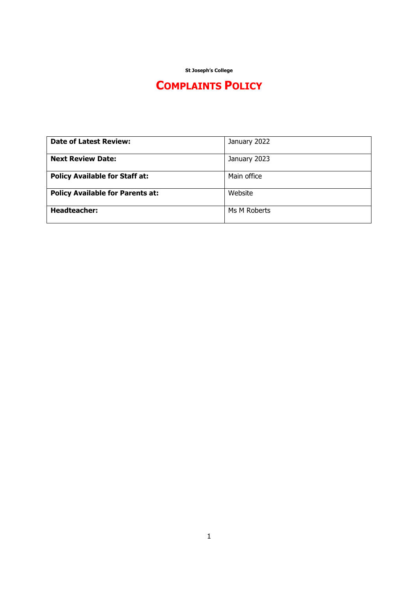**St Joseph's College**

# **COMPLAINTS POLICY**

| <b>Date of Latest Review:</b>           | January 2022 |
|-----------------------------------------|--------------|
| <b>Next Review Date:</b>                | January 2023 |
| <b>Policy Available for Staff at:</b>   | Main office  |
| <b>Policy Available for Parents at:</b> | Website      |
| <b>Headteacher:</b>                     | Ms M Roberts |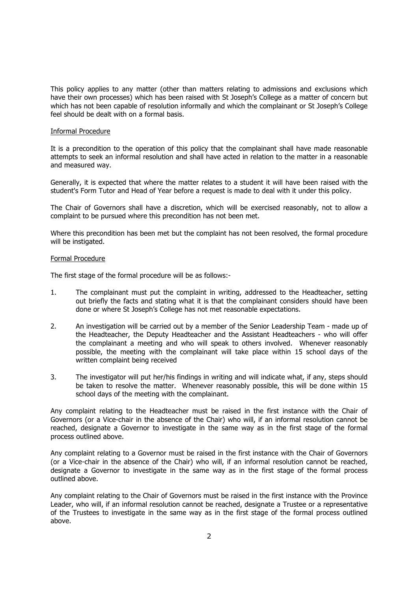This policy applies to any matter (other than matters relating to admissions and exclusions which have their own processes) which has been raised with St Joseph's College as a matter of concern but which has not been capable of resolution informally and which the complainant or St Joseph's College feel should be dealt with on a formal basis.

### Informal Procedure

It is a precondition to the operation of this policy that the complainant shall have made reasonable attempts to seek an informal resolution and shall have acted in relation to the matter in a reasonable and measured way.

Generally, it is expected that where the matter relates to a student it will have been raised with the student's Form Tutor and Head of Year before a request is made to deal with it under this policy.

The Chair of Governors shall have a discretion, which will be exercised reasonably, not to allow a complaint to be pursued where this precondition has not been met.

Where this precondition has been met but the complaint has not been resolved, the formal procedure will be instigated.

### Formal Procedure

The first stage of the formal procedure will be as follows:-

- 1. The complainant must put the complaint in writing, addressed to the Headteacher, setting out briefly the facts and stating what it is that the complainant considers should have been done or where St Joseph's College has not met reasonable expectations.
- 2. An investigation will be carried out by a member of the Senior Leadership Team made up of the Headteacher, the Deputy Headteacher and the Assistant Headteachers - who will offer the complainant a meeting and who will speak to others involved. Whenever reasonably possible, the meeting with the complainant will take place within 15 school days of the written complaint being received
- 3. The investigator will put her/his findings in writing and will indicate what, if any, steps should be taken to resolve the matter. Whenever reasonably possible, this will be done within 15 school days of the meeting with the complainant.

Any complaint relating to the Headteacher must be raised in the first instance with the Chair of Governors (or a Vice-chair in the absence of the Chair) who will, if an informal resolution cannot be reached, designate a Governor to investigate in the same way as in the first stage of the formal process outlined above.

Any complaint relating to a Governor must be raised in the first instance with the Chair of Governors (or a Vice-chair in the absence of the Chair) who will, if an informal resolution cannot be reached, designate a Governor to investigate in the same way as in the first stage of the formal process outlined above.

Any complaint relating to the Chair of Governors must be raised in the first instance with the Province Leader, who will, if an informal resolution cannot be reached, designate a Trustee or a representative of the Trustees to investigate in the same way as in the first stage of the formal process outlined above.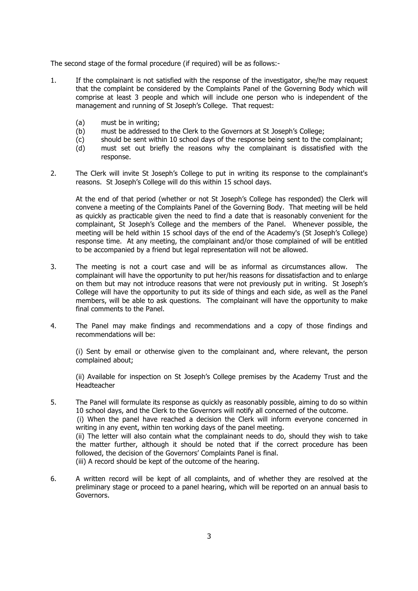The second stage of the formal procedure (if required) will be as follows:-

- 1. If the complainant is not satisfied with the response of the investigator, she/he may request that the complaint be considered by the Complaints Panel of the Governing Body which will comprise at least 3 people and which will include one person who is independent of the management and running of St Joseph's College. That request:
	- (a) must be in writing;
	- (b) must be addressed to the Clerk to the Governors at St Joseph's College;
	- (c) should be sent within 10 school days of the response being sent to the complainant;
	- (d) must set out briefly the reasons why the complainant is dissatisfied with the response.
- 2. The Clerk will invite St Joseph's College to put in writing its response to the complainant's reasons. St Joseph's College will do this within 15 school days.

At the end of that period (whether or not St Joseph's College has responded) the Clerk will convene a meeting of the Complaints Panel of the Governing Body. That meeting will be held as quickly as practicable given the need to find a date that is reasonably convenient for the complainant, St Joseph's College and the members of the Panel. Whenever possible, the meeting will be held within 15 school days of the end of the Academy's (St Joseph's College) response time. At any meeting, the complainant and/or those complained of will be entitled to be accompanied by a friend but legal representation will not be allowed.

- 3. The meeting is not a court case and will be as informal as circumstances allow. The complainant will have the opportunity to put her/his reasons for dissatisfaction and to enlarge on them but may not introduce reasons that were not previously put in writing. St Joseph's College will have the opportunity to put its side of things and each side, as well as the Panel members, will be able to ask questions. The complainant will have the opportunity to make final comments to the Panel.
- 4. The Panel may make findings and recommendations and a copy of those findings and recommendations will be:

(i) Sent by email or otherwise given to the complainant and, where relevant, the person complained about;

(ii) Available for inspection on St Joseph's College premises by the Academy Trust and the Headteacher

- 5. The Panel will formulate its response as quickly as reasonably possible, aiming to do so within 10 school days, and the Clerk to the Governors will notify all concerned of the outcome. (i) When the panel have reached a decision the Clerk will inform everyone concerned in writing in any event, within ten working days of the panel meeting. (ii) The letter will also contain what the complainant needs to do, should they wish to take the matter further, although it should be noted that if the correct procedure has been followed, the decision of the Governors' Complaints Panel is final. (iii) A record should be kept of the outcome of the hearing.
- 6. A written record will be kept of all complaints, and of whether they are resolved at the preliminary stage or proceed to a panel hearing, which will be reported on an annual basis to Governors.